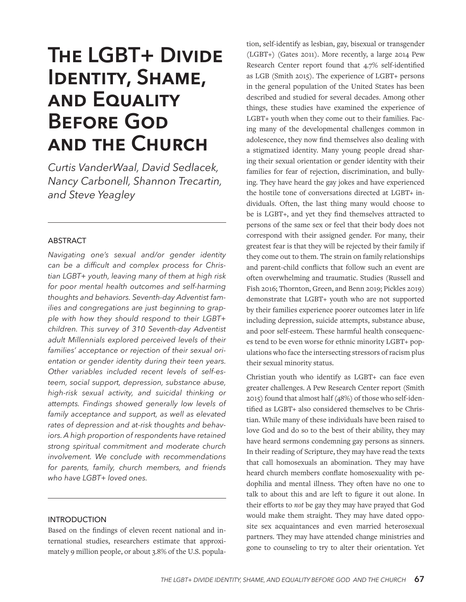# **The LGBT+ Divide Identity, Shame, and Equality Before God and the Church**

*Curtis VanderWaal, David Sedlacek, Nancy Carbonell, Shannon Trecartin, and Steve Yeagley*

# ABSTRACT

*Navigating one's sexual and/or gender identity can be a difficult and complex process for Christian LGBT+ youth, leaving many of them at high risk for poor mental health outcomes and self-harming thoughts and behaviors. Seventh-day Adventist families and congregations are just beginning to grapple with how they should respond to their LGBT+ children. This survey of 310 Seventh-day Adventist adult Millennials explored perceived levels of their families' acceptance or rejection of their sexual orientation or gender identity during their teen years. Other variables included recent levels of self-esteem, social support, depression, substance abuse, high-risk sexual activity, and suicidal thinking or attempts. Findings showed generally low levels of family acceptance and support, as well as elevated rates of depression and at-risk thoughts and behaviors. A high proportion of respondents have retained strong spiritual commitment and moderate church involvement. We conclude with recommendations for parents, family, church members, and friends who have LGBT+ loved ones.*

# INTRODUCTION

Based on the findings of eleven recent national and international studies, researchers estimate that approximately 9 million people, or about 3.8% of the U.S. population, self-identify as lesbian, gay, bisexual or transgender (LGBT+) (Gates 2011). More recently, a large 2014 Pew Research Center report found that 4.7% self-identified as LGB (Smith 2015). The experience of LGBT+ persons in the general population of the United States has been described and studied for several decades. Among other things, these studies have examined the experience of LGBT+ youth when they come out to their families. Facing many of the developmental challenges common in adolescence, they now find themselves also dealing with a stigmatized identity. Many young people dread sharing their sexual orientation or gender identity with their families for fear of rejection, discrimination, and bullying. They have heard the gay jokes and have experienced the hostile tone of conversations directed at LGBT+ individuals. Often, the last thing many would choose to be is LGBT+, and yet they find themselves attracted to persons of the same sex or feel that their body does not correspond with their assigned gender. For many, their greatest fear is that they will be rejected by their family if they come out to them. The strain on family relationships and parent-child conflicts that follow such an event are often overwhelming and traumatic. Studies (Russell and Fish 2016; Thornton, Green, and Benn 2019; Pickles 2019) demonstrate that LGBT+ youth who are not supported by their families experience poorer outcomes later in life including depression, suicide attempts, substance abuse, and poor self-esteem. These harmful health consequences tend to be even worse for ethnic minority LGBT+ populations who face the intersecting stressors of racism plus their sexual minority status.

Christian youth who identify as LGBT+ can face even greater challenges. A Pew Research Center report (Smith 2015) found that almost half (48%) of those who self-identified as LGBT+ also considered themselves to be Christian. While many of these individuals have been raised to love God and do so to the best of their ability, they may have heard sermons condemning gay persons as sinners. In their reading of Scripture, they may have read the texts that call homosexuals an abomination. They may have heard church members conflate homosexuality with pedophilia and mental illness. They often have no one to talk to about this and are left to figure it out alone. In their efforts to *not* be gay they may have prayed that God would make them straight. They may have dated opposite sex acquaintances and even married heterosexual partners. They may have attended change ministries and gone to counseling to try to alter their orientation. Yet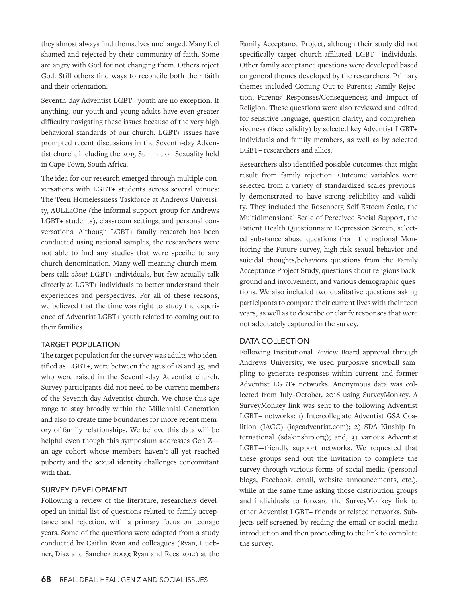they almost always find themselves unchanged. Many feel shamed and rejected by their community of faith. Some are angry with God for not changing them. Others reject God. Still others find ways to reconcile both their faith and their orientation.

Seventh-day Adventist LGBT+ youth are no exception. If anything, our youth and young adults have even greater difficulty navigating these issues because of the very high behavioral standards of our church. LGBT+ issues have prompted recent discussions in the Seventh-day Adventist church, including the 2015 Summit on Sexuality held in Cape Town, South Africa.

The idea for our research emerged through multiple conversations with LGBT+ students across several venues: The Teen Homelessness Taskforce at Andrews University, AULL4One (the informal support group for Andrews LGBT+ students), classroom settings, and personal conversations. Although LGBT+ family research has been conducted using national samples, the researchers were not able to find any studies that were specific to any church denomination. Many well-meaning church members talk *about* LGBT+ individuals, but few actually talk directly *to* LGBT+ individuals to better understand their experiences and perspectives. For all of these reasons, we believed that the time was right to study the experience of Adventist LGBT+ youth related to coming out to their families.

# TARGET POPULATION

The target population for the survey was adults who identified as LGBT+, were between the ages of 18 and 35, and who were raised in the Seventh-day Adventist church. Survey participants did not need to be current members of the Seventh-day Adventist church. We chose this age range to stay broadly within the Millennial Generation and also to create time boundaries for more recent memory of family relationships. We believe this data will be helpful even though this symposium addresses Gen Z an age cohort whose members haven't all yet reached puberty and the sexual identity challenges concomitant with that.

## SURVEY DEVELOPMENT

Following a review of the literature, researchers developed an initial list of questions related to family acceptance and rejection, with a primary focus on teenage years. Some of the questions were adapted from a study conducted by Caitlin Ryan and colleagues (Ryan, Huebner, Diaz and Sanchez 2009; Ryan and Rees 2012) at the

Family Acceptance Project, although their study did not specifically target church-affiliated LGBT+ individuals. Other family acceptance questions were developed based on general themes developed by the researchers. Primary themes included Coming Out to Parents; Family Rejection; Parents' Responses/Consequences; and Impact of Religion. These questions were also reviewed and edited for sensitive language, question clarity, and comprehensiveness (face validity) by selected key Adventist LGBT+ individuals and family members, as well as by selected LGBT+ researchers and allies.

Researchers also identified possible outcomes that might result from family rejection. Outcome variables were selected from a variety of standardized scales previously demonstrated to have strong reliability and validity. They included the Rosenberg Self-Esteem Scale, the Multidimensional Scale of Perceived Social Support, the Patient Health Questionnaire Depression Screen, selected substance abuse questions from the national Monitoring the Future survey, high-risk sexual behavior and suicidal thoughts/behaviors questions from the Family Acceptance Project Study, questions about religious background and involvement; and various demographic questions. We also included two qualitative questions asking participants to compare their current lives with their teen years, as well as to describe or clarify responses that were not adequately captured in the survey.

#### DATA COLLECTION

Following Institutional Review Board approval through Andrews University, we used purposive snowball sampling to generate responses within current and former Adventist LGBT+ networks. Anonymous data was collected from July–October, 2016 using SurveyMonkey. A SurveyMonkey link was sent to the following Adventist LGBT+ networks: 1) Intercollegiate Adventist GSA Coalition (IAGC) (iagcadventist.com); 2) SDA Kinship International (sdakinship.org); and, 3) various Adventist LGBT+-friendly support networks. We requested that these groups send out the invitation to complete the survey through various forms of social media (personal blogs, Facebook, email, website announcements, etc.), while at the same time asking those distribution groups and individuals to forward the SurveyMonkey link to other Adventist LGBT+ friends or related networks. Subjects self-screened by reading the email or social media introduction and then proceeding to the link to complete the survey.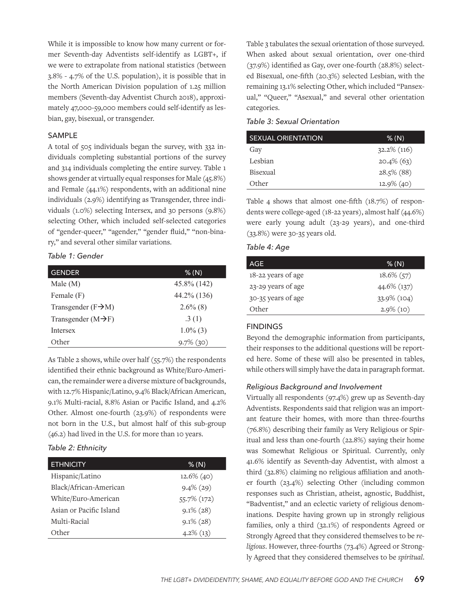While it is impossible to know how many current or former Seventh-day Adventists self-identify as LGBT+, if we were to extrapolate from national statistics (between 3.8% - 4.7% of the U.S. population), it is possible that in the North American Division population of 1.25 million members (Seventh-day Adventist Church 2018), approximately 47,000-59,000 members could self-identify as lesbian, gay, bisexual, or transgender.

# SAMPLE

A total of 505 individuals began the survey, with 332 individuals completing substantial portions of the survey and 314 individuals completing the entire survey. Table 1 shows gender at virtually equal responses for Male (45.8%) and Female (44.1%) respondents, with an additional nine individuals (2.9%) identifying as Transgender, three individuals (1.0%) selecting Intersex, and 30 persons (9.8%) selecting Other, which included self-selected categories of "gender-queer," "agender," "gender fluid," "non-binary," and several other similar variations.

# *Table 1: Gender*

| <b>GENDER</b>                   | % (N)        |
|---------------------------------|--------------|
| Male(M)                         | 45.8% (142)  |
| Female (F)                      | 44.2% (136)  |
| Transgender $(F \rightarrow M)$ | $2.6\%$ (8)  |
| Transgender $(M\rightarrow F)$  | .3(1)        |
| <b>Intersex</b>                 | $1.0\%$ (3)  |
| Other                           | $9.7\%$ (30) |

As Table 2 shows, while over half (55.7%) the respondents identified their ethnic background as White/Euro-American, the remainder were a diverse mixture of backgrounds, with 12.7% Hispanic/Latino, 9.4% Black/African American, 9.1% Multi-racial, 8.8% Asian or Pacific Island, and 4.2% Other. Almost one-fourth (23.9%) of respondents were not born in the U.S., but almost half of this sub-group (46.2) had lived in the U.S. for more than 10 years.

# *Table 2: Ethnicity*

| <b>ETHNICITY</b>        | % (N)         |
|-------------------------|---------------|
| Hispanic/Latino         | $12.6\%$ (40) |
| Black/African-American  | $9.4\%$ (29)  |
| White/Euro-American     | 55.7% (172)   |
| Asian or Pacific Island | $9.1\%$ (28)  |
| Multi-Racial            | $9.1\%$ (28)  |
| Other                   | $4.2\%$ (13)  |

Table 3 tabulates the sexual orientation of those surveyed. When asked about sexual orientation, over one-third (37.9%) identified as Gay, over one-fourth (28.8%) selected Bisexual, one-fifth (20.3%) selected Lesbian, with the remaining 13.1% selecting Other, which included "Pansexual," "Queer," "Asexual," and several other orientation categories.

# *Table 3: Sexual Orientation*

| <b>SEXUAL ORIENTATION</b> | % (N)          |
|---------------------------|----------------|
| Gay                       | $32.2\%$ (116) |
| Lesbian                   | $20.4\%$ (63)  |
| Bisexual                  | $28.5\%$ (88)  |
| Other                     | $12.9\%$ (40)  |

Table 4 shows that almost one-fifth (18.7%) of respondents were college-aged (18-22 years), almost half (44.6%) were early young adult (23-29 years), and one-third (33.8%) were 30-35 years old.

|  |  |  | Table 4: Age |
|--|--|--|--------------|
|--|--|--|--------------|

| AGE                | % (N)         |
|--------------------|---------------|
| 18-22 years of age | $18.6\%$ (57) |
| 23-29 years of age | 44.6% (137)   |
| 30-35 years of age | 33.9% (104)   |
| Other              | $2.9\%$ (10)  |

# FINDINGS

Beyond the demographic information from participants, their responses to the additional questions will be reported here. Some of these will also be presented in tables, while others will simply have the data in paragraph format.

#### *Religious Background and Involvement*

Virtually all respondents (97.4%) grew up as Seventh-day Adventists. Respondents said that religion was an important feature their homes, with more than three-fourths (76.8%) describing their family as Very Religious or Spiritual and less than one-fourth (22.8%) saying their home was Somewhat Religious or Spiritual. Currently, only 41.6% identify as Seventh-day Adventist, with almost a third (32.8%) claiming no religious affiliation and another fourth (23.4%) selecting Other (including common responses such as Christian, atheist, agnostic, Buddhist, "Badventist," and an eclectic variety of religious denominations. Despite having grown up in strongly religious families, only a third (32.1%) of respondents Agreed or Strongly Agreed that they considered themselves to be *religious*. However, three-fourths (73.4%) Agreed or Strongly Agreed that they considered themselves to be *spiritual*.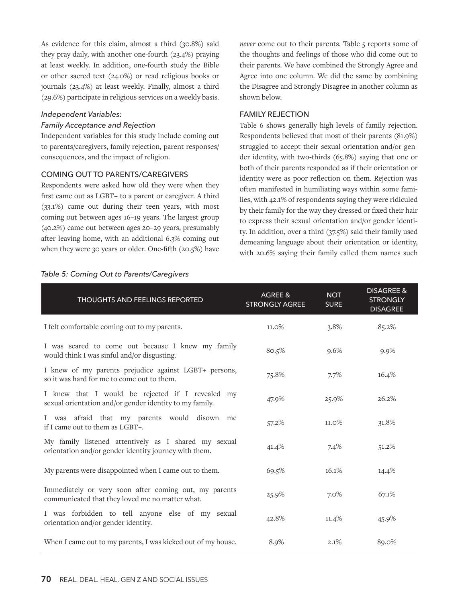As evidence for this claim, almost a third (30.8%) said they pray daily, with another one-fourth (23.4%) praying at least weekly. In addition, one-fourth study the Bible or other sacred text (24.0%) or read religious books or journals (23.4%) at least weekly. Finally, almost a third (29.6%) participate in religious services on a weekly basis.

## *Independent Variables:*

# *Family Acceptance and Rejection*

Independent variables for this study include coming out to parents/caregivers, family rejection, parent responses/ consequences, and the impact of religion.

#### COMING OUT TO PARENTS/CAREGIVERS

Respondents were asked how old they were when they first came out as LGBT+ to a parent or caregiver. A third (33.1%) came out during their teen years, with most coming out between ages 16–19 years. The largest group (40.2%) came out between ages 20–29 years, presumably after leaving home, with an additional 6.3% coming out when they were 30 years or older. One-fifth (20.5%) have

*never* come out to their parents. Table 5 reports some of the thoughts and feelings of those who did come out to their parents. We have combined the Strongly Agree and Agree into one column. We did the same by combining the Disagree and Strongly Disagree in another column as shown below.

#### FAMILY REJECTION

Table 6 shows generally high levels of family rejection. Respondents believed that most of their parents (81.9%) struggled to accept their sexual orientation and/or gender identity, with two-thirds (65.8%) saying that one or both of their parents responded as if their orientation or identity were as poor reflection on them. Rejection was often manifested in humiliating ways within some families, with 42.1% of respondents saying they were ridiculed by their family for the way they dressed or fixed their hair to express their sexual orientation and/or gender identity. In addition, over a third (37.5%) said their family used demeaning language about their orientation or identity, with 20.6% saying their family called them names such

| <b>THOUGHTS AND FEELINGS REPORTED</b>                                                                         | AGREE &<br><b>STRONGLY AGREE</b> | <b>NOT</b><br><b>SURE</b> | <b>DISAGREE &amp;</b><br><b>STRONGLY</b><br><b>DISAGREE</b> |
|---------------------------------------------------------------------------------------------------------------|----------------------------------|---------------------------|-------------------------------------------------------------|
| I felt comfortable coming out to my parents.                                                                  | 11.0%                            | 3.8%                      | 85.2%                                                       |
| I was scared to come out because I knew my family<br>would think I was sinful and/or disgusting.              | 80.5%                            | 9.6%                      | 9.9%                                                        |
| I knew of my parents prejudice against LGBT+ persons,<br>so it was hard for me to come out to them.           | 75.8%                            | 7.7%                      | 16.4%                                                       |
| I knew that I would be rejected if I revealed my<br>sexual orientation and/or gender identity to my family.   | 47.9%                            | 25.9%                     | 26.2%                                                       |
| I was afraid that my parents would disown<br>me<br>if I came out to them as LGBT+.                            | 57.2%                            | 11.0%                     | 31.8%                                                       |
| My family listened attentively as I shared my sexual<br>orientation and/or gender identity journey with them. | 41.4%                            | 7.4%                      | 51.2%                                                       |
| My parents were disappointed when I came out to them.                                                         | 69.5%                            | 16.1%                     | 14.4%                                                       |
| Immediately or very soon after coming out, my parents<br>communicated that they loved me no matter what.      | 25.9%                            | $7.0\%$                   | 67.1%                                                       |
| I was forbidden to tell anyone else of my sexual<br>orientation and/or gender identity.                       | 42.8%                            | 11.4%                     | 45.9%                                                       |
| When I came out to my parents, I was kicked out of my house.                                                  | 8.9%                             | 2.1%                      | 89.0%                                                       |

#### *Table 5: Coming Out to Parents/Caregivers*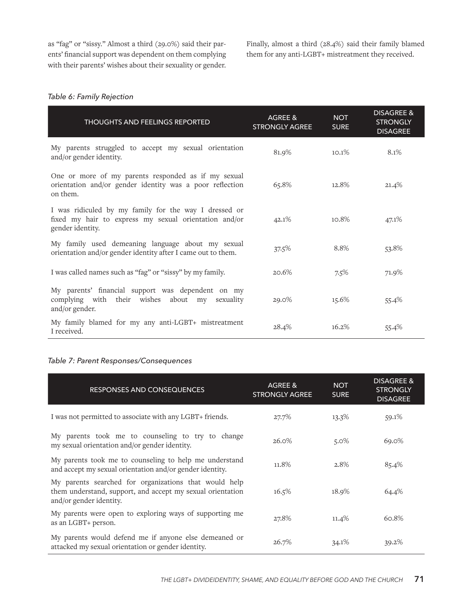as "fag" or "sissy." Almost a third (29.0%) said their parents' financial support was dependent on them complying with their parents' wishes about their sexuality or gender.

Finally, almost a third (28.4%) said their family blamed them for any anti-LGBT+ mistreatment they received.

# *Table 6: Family Rejection*

| <b>THOUGHTS AND FEELINGS REPORTED</b>                                                                                              | AGREE &<br><b>STRONGLY AGREE</b> | <b>NOT</b><br><b>SURE</b> | <b>DISAGREE &amp;</b><br><b>STRONGLY</b><br><b>DISAGREE</b> |
|------------------------------------------------------------------------------------------------------------------------------------|----------------------------------|---------------------------|-------------------------------------------------------------|
| My parents struggled to accept my sexual orientation<br>and/or gender identity.                                                    | 81.9%                            | 10.1%                     | 8.1%                                                        |
| One or more of my parents responded as if my sexual<br>orientation and/or gender identity was a poor reflection<br>on them.        | 65.8%                            | 12.8%                     | 21.4%                                                       |
| I was ridiculed by my family for the way I dressed or<br>fixed my hair to express my sexual orientation and/or<br>gender identity. | 42.1%                            | 10.8%                     | 47.1%                                                       |
| My family used demeaning language about my sexual<br>orientation and/or gender identity after I came out to them.                  | 37.5%                            | 8.8%                      | 53.8%                                                       |
| I was called names such as "fag" or "sissy" by my family.                                                                          | 20.6%                            | 7.5%                      | 71.9%                                                       |
| My parents' financial support was dependent on my<br>complying with their wishes about my<br>sexuality<br>and/or gender.           | 29.0%                            | 15.6%                     | 55.4%                                                       |
| My family blamed for my any anti-LGBT+ mistreatment<br>I received.                                                                 | 28.4%                            | 16.2%                     | 55.4%                                                       |

# *Table 7: Parent Responses/Consequences*

| <b>RESPONSES AND CONSEQUENCES</b>                                                                                                              | AGREE &<br><b>STRONGLY AGREE</b> | <b>NOT</b><br><b>SURE</b> | <b>DISAGREE &amp;</b><br><b>STRONGLY</b><br><b>DISAGREE</b> |
|------------------------------------------------------------------------------------------------------------------------------------------------|----------------------------------|---------------------------|-------------------------------------------------------------|
| I was not permitted to associate with any LGBT+ friends.                                                                                       | 27.7%                            | 13.3%                     | 59.1%                                                       |
| My parents took me to counseling to try to change<br>my sexual orientation and/or gender identity.                                             | 26.0%                            | $5.0\%$                   | 69.0%                                                       |
| My parents took me to counseling to help me understand<br>and accept my sexual orientation and/or gender identity.                             | 11.8%                            | 2.8%                      | 85.4%                                                       |
| My parents searched for organizations that would help<br>them understand, support, and accept my sexual orientation<br>and/or gender identity. | 16.5%                            | 18.9%                     | 64.4%                                                       |
| My parents were open to exploring ways of supporting me<br>as an LGBT+ person.                                                                 | 27.8%                            | $11.4\%$                  | 60.8%                                                       |
| My parents would defend me if anyone else demeaned or<br>attacked my sexual orientation or gender identity.                                    | 26.7%                            | $34.1\%$                  | 39.2%                                                       |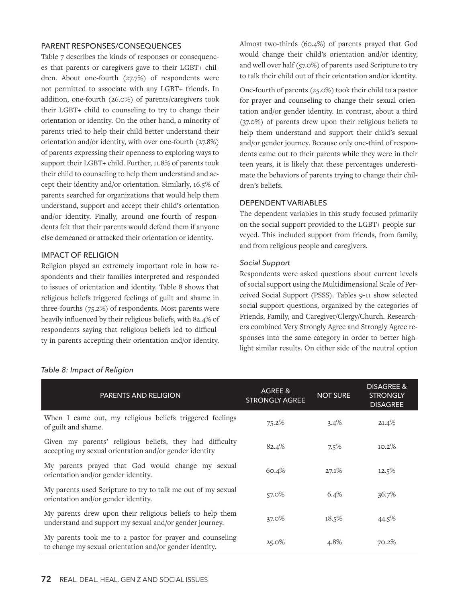#### PARENT RESPONSES/CONSEQUENCES

Table 7 describes the kinds of responses or consequences that parents or caregivers gave to their LGBT+ children. About one-fourth (27.7%) of respondents were not permitted to associate with any LGBT+ friends. In addition, one-fourth (26.0%) of parents/caregivers took their LGBT+ child to counseling to try to change their orientation or identity. On the other hand, a minority of parents tried to help their child better understand their orientation and/or identity, with over one-fourth (27.8%) of parents expressing their openness to exploring ways to support their LGBT+ child. Further, 11.8% of parents took their child to counseling to help them understand and accept their identity and/or orientation. Similarly, 16.5% of parents searched for organizations that would help them understand, support and accept their child's orientation and/or identity. Finally, around one-fourth of respondents felt that their parents would defend them if anyone else demeaned or attacked their orientation or identity.

# IMPACT OF RELIGION

Religion played an extremely important role in how respondents and their families interpreted and responded to issues of orientation and identity. Table 8 shows that religious beliefs triggered feelings of guilt and shame in three-fourths (75.2%) of respondents. Most parents were heavily influenced by their religious beliefs, with 82.4% of respondents saying that religious beliefs led to difficulty in parents accepting their orientation and/or identity.

Almost two-thirds (60.4%) of parents prayed that God would change their child's orientation and/or identity, and well over half (57.0%) of parents used Scripture to try to talk their child out of their orientation and/or identity.

One-fourth of parents (25.0%) took their child to a pastor for prayer and counseling to change their sexual orientation and/or gender identity. In contrast, about a third (37.0%) of parents drew upon their religious beliefs to help them understand and support their child's sexual and/or gender journey. Because only one-third of respondents came out to their parents while they were in their teen years, it is likely that these percentages underestimate the behaviors of parents trying to change their children's beliefs.

# DEPENDENT VARIABLES

The dependent variables in this study focused primarily on the social support provided to the LGBT+ people surveyed. This included support from friends, from family, and from religious people and caregivers.

# *Social Support*

Respondents were asked questions about current levels of social support using the Multidimensional Scale of Perceived Social Support (PSSS). Tables 9-11 show selected social support questions, organized by the categories of Friends, Family, and Caregiver/Clergy/Church. Researchers combined Very Strongly Agree and Strongly Agree responses into the same category in order to better highlight similar results. On either side of the neutral option

| <b>PARENTS AND RELIGION</b>                                                                                          | AGREE &<br><b>STRONGLY AGREE</b> | <b>NOT SURE</b> | <b>DISAGREE &amp;</b><br><b>STRONGLY</b><br><b>DISAGREE</b> |
|----------------------------------------------------------------------------------------------------------------------|----------------------------------|-----------------|-------------------------------------------------------------|
| When I came out, my religious beliefs triggered feelings<br>of guilt and shame.                                      | 75.2%                            | 3.4%            | 21.4%                                                       |
| Given my parents' religious beliefs, they had difficulty<br>accepting my sexual orientation and/or gender identity   | 82.4%                            | 7.5%            | 10.2%                                                       |
| My parents prayed that God would change my sexual<br>orientation and/or gender identity.                             | 60.4%                            | 27.1%           | 12.5%                                                       |
| My parents used Scripture to try to talk me out of my sexual<br>orientation and/or gender identity.                  | 57.0%                            | 6.4%            | 36.7%                                                       |
| My parents drew upon their religious beliefs to help them<br>understand and support my sexual and/or gender journey. | 37.0%                            | 18.5%           | 44.5%                                                       |
| My parents took me to a pastor for prayer and counseling<br>to change my sexual orientation and/or gender identity.  | 25.0%                            | 4.8%            | 70.2%                                                       |

# *Table 8: Impact of Religion*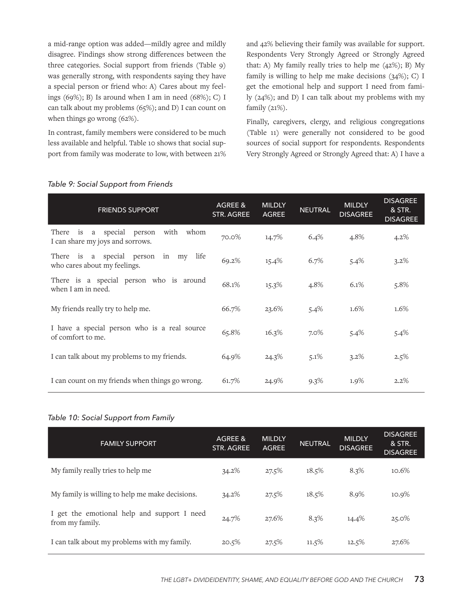a mid-range option was added—mildly agree and mildly disagree. Findings show strong differences between the three categories. Social support from friends (Table 9) was generally strong, with respondents saying they have a special person or friend who: A) Cares about my feelings  $(69\%)$ ; B) Is around when I am in need  $(68\%)$ ; C) I can talk about my problems (65%); and D) I can count on when things go wrong (62%).

In contrast, family members were considered to be much less available and helpful. Table 10 shows that social support from family was moderate to low, with between 21% and 42% believing their family was available for support. Respondents Very Strongly Agreed or Strongly Agreed that: A) My family really tries to help me (42%); B) My family is willing to help me make decisions  $(34\%)$ ; C) I get the emotional help and support I need from family (24%); and D) I can talk about my problems with my family (21%).

Finally, caregivers, clergy, and religious congregations (Table 11) were generally not considered to be good sources of social support for respondents. Respondents Very Strongly Agreed or Strongly Agreed that: A) I have a

| <b>FRIENDS SUPPORT</b>                                                              | AGREE &<br>STR. AGREE | <b>MILDLY</b><br><b>AGREE</b> | <b>NEUTRAL</b> | <b>MILDLY</b><br><b>DISAGREE</b> | <b>DISAGREE</b><br>& STR.<br><b>DISAGREE</b> |
|-------------------------------------------------------------------------------------|-----------------------|-------------------------------|----------------|----------------------------------|----------------------------------------------|
| with<br>a special person<br>whom<br>is<br>There<br>I can share my joys and sorrows. | 70.0%                 | 14.7%                         | 6.4%           | 4.8%                             | 4.2%                                         |
| life<br>is a special person in my<br>There<br>who cares about my feelings.          | 69.2%                 | 15.4%                         | 6.7%           | 5.4%                             | 3.2%                                         |
| There is a special person who is around<br>when I am in need.                       | 68.1%                 | 15.3%                         | 4.8%           | 6.1%                             | 5.8%                                         |
| My friends really try to help me.                                                   | 66.7%                 | 23.6%                         | 5.4%           | 1.6%                             | 1.6%                                         |
| I have a special person who is a real source<br>of comfort to me.                   | 65.8%                 | 16.3%                         | $7.0\%$        | 5.4%                             | 5.4%                                         |
| I can talk about my problems to my friends.                                         | 64.9%                 | $24.3\%$                      | $5.1\%$        | 3.2%                             | 2.5%                                         |
| I can count on my friends when things go wrong.                                     | 61.7%                 | 24.9%                         | $9.3\%$        | 1.9%                             | 2.2%                                         |

# *Table 9: Social Support from Friends*

# *Table 10: Social Support from Family*

| <b>FAMILY SUPPORT</b>                                          | AGREE &<br><b>STR. AGREE</b> | <b>MILDLY</b><br><b>AGREE</b> | <b>NEUTRAL</b> | <b>MILDLY</b><br><b>DISAGREE</b> | <b>DISAGREE</b><br>& STR.<br><b>DISAGREE</b> |
|----------------------------------------------------------------|------------------------------|-------------------------------|----------------|----------------------------------|----------------------------------------------|
| My family really tries to help me                              | 34.2%                        | 27.5%                         | 18.5%          | 8.3%                             | 10.6%                                        |
| My family is willing to help me make decisions.                | $34.2\%$                     | 27.5%                         | 18.5%          | 8.9%                             | 10.9%                                        |
| I get the emotional help and support I need<br>from my family. | 24.7%                        | 27.6%                         | 8.3%           | 14.4%                            | 25.0%                                        |
| I can talk about my problems with my family.                   | 20.5%                        | 27.5%                         | 11.5%          | 12.5%                            | 27.6%                                        |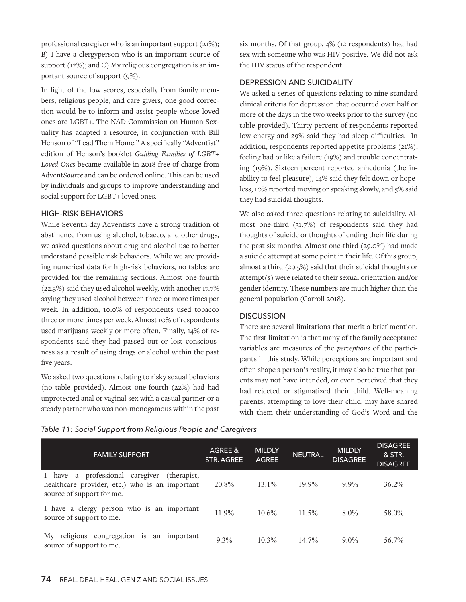professional caregiver who is an important support (21%); B) I have a clergyperson who is an important source of support (12%); and C) My religious congregation is an important source of support (9%).

In light of the low scores, especially from family members, religious people, and care givers, one good correction would be to inform and assist people whose loved ones are LGBT+. The NAD Commission on Human Sexuality has adapted a resource, in conjunction with Bill Henson of "Lead Them Home." A specifically "Adventist" edition of Henson's booklet *Guiding Families of LGBT+ Loved Ones* became available in 2018 free of charge from Advent*Source* and can be ordered online. This can be used by individuals and groups to improve understanding and social support for LGBT+ loved ones.

# HIGH-RISK BEHAVIORS

While Seventh-day Adventists have a strong tradition of abstinence from using alcohol, tobacco, and other drugs, we asked questions about drug and alcohol use to better understand possible risk behaviors. While we are providing numerical data for high-risk behaviors, no tables are provided for the remaining sections. Almost one-fourth (22.3%) said they used alcohol weekly, with another 17.7% saying they used alcohol between three or more times per week. In addition, 10.0% of respondents used tobacco three or more times per week. Almost 10% of respondents used marijuana weekly or more often. Finally, 14% of respondents said they had passed out or lost consciousness as a result of using drugs or alcohol within the past five years.

We asked two questions relating to risky sexual behaviors (no table provided). Almost one-fourth (22%) had had unprotected anal or vaginal sex with a casual partner or a steady partner who was non-monogamous within the past

six months. Of that group, 4% (12 respondents) had had sex with someone who was HIV positive. We did not ask the HIV status of the respondent.

# DEPRESSION AND SUICIDALITY

We asked a series of questions relating to nine standard clinical criteria for depression that occurred over half or more of the days in the two weeks prior to the survey (no table provided). Thirty percent of respondents reported low energy and 29% said they had sleep difficulties. In addition, respondents reported appetite problems (21%), feeling bad or like a failure (19%) and trouble concentrating (19%). Sixteen percent reported anhedonia (the inability to feel pleasure), 14% said they felt down or hopeless, 10% reported moving or speaking slowly, and 5% said they had suicidal thoughts.

We also asked three questions relating to suicidality. Almost one-third (31.7%) of respondents said they had thoughts of suicide or thoughts of ending their life during the past six months. Almost one-third (29.0%) had made a suicide attempt at some point in their life. Of this group, almost a third (29.5%) said that their suicidal thoughts or attempt(s) were related to their sexual orientation and/or gender identity. These numbers are much higher than the general population (Carroll 2018).

# **DISCUSSION**

There are several limitations that merit a brief mention. The first limitation is that many of the family acceptance variables are measures of the *perceptions* of the participants in this study. While perceptions are important and often shape a person's reality, it may also be true that parents may not have intended, or even perceived that they had rejected or stigmatized their child. Well-meaning parents, attempting to love their child, may have shared with them their understanding of God's Word and the

| <b>FAMILY SUPPORT</b>                                                                                                         | AGREE &<br>STR. AGREE | <b>MILDLY</b><br><b>AGREE</b> | <b>NEUTRAL</b> | <b>MILDLY</b><br><b>DISAGREE</b> | <b>DISAGREE</b><br>& STR.<br><b>DISAGREE</b> |
|-------------------------------------------------------------------------------------------------------------------------------|-----------------------|-------------------------------|----------------|----------------------------------|----------------------------------------------|
| I have a professional caregiver<br>(therapist,<br>healthcare provider, etc.) who is an important<br>source of support for me. | 20.8%                 | $13.1\%$                      | $19.9\%$       | $9.9\%$                          | $36.2\%$                                     |
| I have a clergy person who is an important<br>source of support to me.                                                        | $11.9\%$              | $10.6\%$                      | $11.5\%$       | $8.0\%$                          | 58.0%                                        |
| religious congregation is<br>My<br>an important<br>source of support to me.                                                   | $9.3\%$               | $10.3\%$                      | $14.7\%$       | $9.0\%$                          | 56.7%                                        |

# *Table 11: Social Support from Religious People and Caregivers*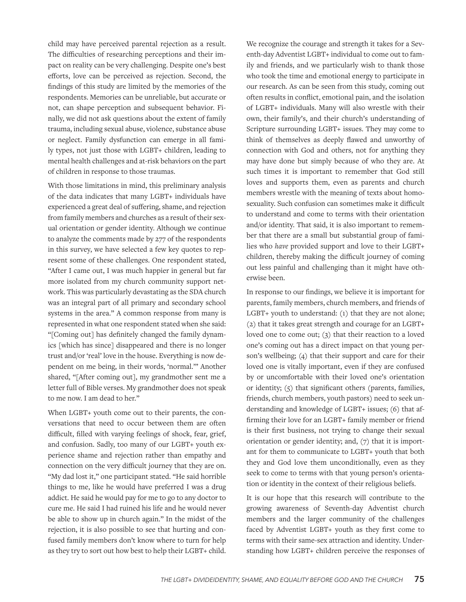child may have perceived parental rejection as a result. The difficulties of researching perceptions and their impact on reality can be very challenging. Despite one's best efforts, love can be perceived as rejection. Second, the findings of this study are limited by the memories of the respondents. Memories can be unreliable, but accurate or not, can shape perception and subsequent behavior. Finally, we did not ask questions about the extent of family trauma, including sexual abuse, violence, substance abuse or neglect. Family dysfunction can emerge in all family types, not just those with LGBT+ children, leading to mental health challenges and at-risk behaviors on the part of children in response to those traumas.

With those limitations in mind, this preliminary analysis of the data indicates that many LGBT+ individuals have experienced a great deal of suffering, shame, and rejection from family members and churches as a result of their sexual orientation or gender identity. Although we continue to analyze the comments made by 277 of the respondents in this survey, we have selected a few key quotes to represent some of these challenges. One respondent stated, "After I came out, I was much happier in general but far more isolated from my church community support network. This was particularly devastating as the SDA church was an integral part of all primary and secondary school systems in the area." A common response from many is represented in what one respondent stated when she said: "[Coming out] has definitely changed the family dynamics [which has since] disappeared and there is no longer trust and/or 'real' love in the house. Everything is now dependent on me being, in their words, 'normal.'" Another shared, "[After coming out], my grandmother sent me a letter full of Bible verses. My grandmother does not speak to me now. I am dead to her."

When LGBT+ youth come out to their parents, the conversations that need to occur between them are often difficult, filled with varying feelings of shock, fear, grief, and confusion. Sadly, too many of our LGBT+ youth experience shame and rejection rather than empathy and connection on the very difficult journey that they are on. "My dad lost it," one participant stated. "He said horrible things to me, like he would have preferred I was a drug addict. He said he would pay for me to go to any doctor to cure me. He said I had ruined his life and he would never be able to show up in church again." In the midst of the rejection, it is also possible to see that hurting and confused family members don't know where to turn for help as they try to sort out how best to help their LGBT+ child.

We recognize the courage and strength it takes for a Seventh-day Adventist LGBT+ individual to come out to family and friends, and we particularly wish to thank those who took the time and emotional energy to participate in our research. As can be seen from this study, coming out often results in conflict, emotional pain, and the isolation of LGBT+ individuals. Many will also wrestle with their own, their family's, and their church's understanding of Scripture surrounding LGBT+ issues. They may come to think of themselves as deeply flawed and unworthy of connection with God and others, not for anything they may have done but simply because of who they are. At such times it is important to remember that God still loves and supports them, even as parents and church members wrestle with the meaning of texts about homosexuality. Such confusion can sometimes make it difficult to understand and come to terms with their orientation and/or identity. That said, it is also important to remember that there are a small but substantial group of families who *have* provided support and love to their LGBT+ children, thereby making the difficult journey of coming out less painful and challenging than it might have otherwise been.

In response to our findings, we believe it is important for parents, family members, church members, and friends of LGBT+ youth to understand: (1) that they are not alone; (2) that it takes great strength and courage for an LGBT+ loved one to come out; (3) that their reaction to a loved one's coming out has a direct impact on that young person's wellbeing; (4) that their support and care for their loved one is vitally important, even if they are confused by or uncomfortable with their loved one's orientation or identity; (5) that significant others (parents, families, friends, church members, youth pastors) need to seek understanding and knowledge of LGBT+ issues; (6) that affirming their love for an LGBT+ family member or friend is their first business, not trying to change their sexual orientation or gender identity; and, (7) that it is important for them to communicate to LGBT+ youth that both they and God love them unconditionally, even as they seek to come to terms with that young person's orientation or identity in the context of their religious beliefs.

It is our hope that this research will contribute to the growing awareness of Seventh-day Adventist church members and the larger community of the challenges faced by Adventist LGBT+ youth as they first come to terms with their same-sex attraction and identity. Understanding how LGBT+ children perceive the responses of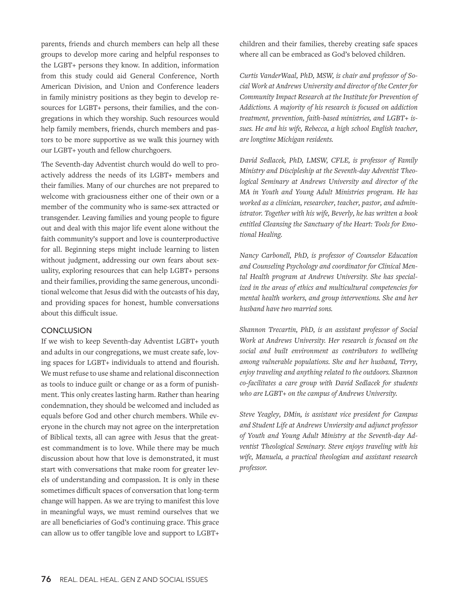parents, friends and church members can help all these groups to develop more caring and helpful responses to the LGBT+ persons they know. In addition, information from this study could aid General Conference, North American Division, and Union and Conference leaders in family ministry positions as they begin to develop resources for LGBT+ persons, their families, and the congregations in which they worship. Such resources would help family members, friends, church members and pastors to be more supportive as we walk this journey with our LGBT+ youth and fellow churchgoers.

The Seventh-day Adventist church would do well to proactively address the needs of its LGBT+ members and their families. Many of our churches are not prepared to welcome with graciousness either one of their own or a member of the community who is same-sex attracted or transgender. Leaving families and young people to figure out and deal with this major life event alone without the faith community's support and love is counterproductive for all. Beginning steps might include learning to listen without judgment, addressing our own fears about sexuality, exploring resources that can help LGBT+ persons and their families, providing the same generous, unconditional welcome that Jesus did with the outcasts of his day, and providing spaces for honest, humble conversations about this difficult issue.

# **CONCLUSION**

If we wish to keep Seventh-day Adventist LGBT+ youth and adults in our congregations, we must create safe, loving spaces for LGBT+ individuals to attend and flourish. We must refuse to use shame and relational disconnection as tools to induce guilt or change or as a form of punishment. This only creates lasting harm. Rather than hearing condemnation, they should be welcomed and included as equals before God and other church members. While everyone in the church may not agree on the interpretation of Biblical texts, all can agree with Jesus that the greatest commandment is to love. While there may be much discussion about how that love is demonstrated, it must start with conversations that make room for greater levels of understanding and compassion. It is only in these sometimes difficult spaces of conversation that long-term change will happen. As we are trying to manifest this love in meaningful ways, we must remind ourselves that we are all beneficiaries of God's continuing grace. This grace can allow us to offer tangible love and support to LGBT+

children and their families, thereby creating safe spaces where all can be embraced as God's beloved children.

*Curtis VanderWaal, PhD, MSW, is chair and professor of Social Work at Andrews University and director of the Center for Community Impact Research at the Institute for Prevention of Addictions. A majority of his research is focused on addiction treatment, prevention, faith-based ministries, and LGBT+ issues. He and his wife, Rebecca, a high school English teacher, are longtime Michigan residents.*

*David Sedlacek, PhD, LMSW, CFLE, is professor of Family Ministry and Discipleship at the Seventh-day Adventist Theological Seminary at Andrews University and director of the MA in Youth and Young Adult Ministries program. He has worked as a clinician, researcher, teacher, pastor, and administrator. Together with his wife, Beverly, he has written a book entitled Cleansing the Sanctuary of the Heart: Tools for Emotional Healing.*

*Nancy Carbonell, PhD, is professor of Counselor Education and Counseling Psychology and coordinator for Clinical Mental Health program at Andrews University. She has specialized in the areas of ethics and multicultural competencies for mental health workers, and group interventions. She and her husband have two married sons.*

*Shannon Trecartin, PhD, is an assistant professor of Social Work at Andrews University. Her research is focused on the social and built environment as contributors to wellbeing among vulnerable populations. She and her husband, Terry, enjoy traveling and anything related to the outdoors. Shannon co-facilitates a care group with David Sedlacek for students who are LGBT+ on the campus of Andrews University.*

*Steve Yeagley, DMin, is assistant vice president for Campus and Student Life at Andrews Unviersity and adjunct professor of Youth and Young Adult Ministry at the Seventh-day Adventist Theological Seminary. Steve enjoys traveling with his wife, Manuela, a practical theologian and assistant research professor.*